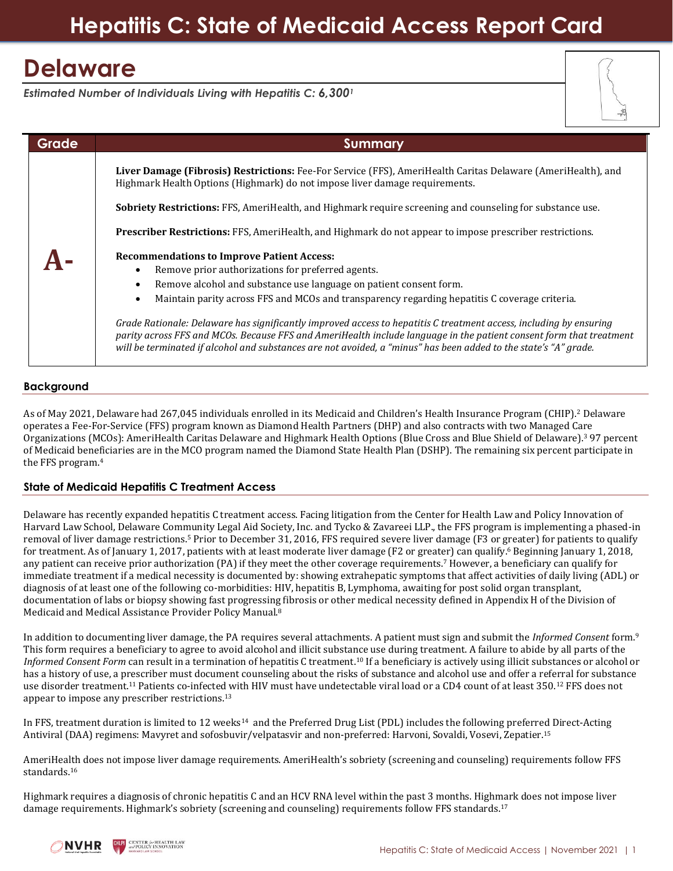# **Hepatitis C: State of Medicaid Access Report Card**

# **Delaware**

*Estimated Number of Individuals Living with Hepatitis C: 6,300<sup>1</sup>*



## **Background**

As of May 2021, Delaware had 267,045 individuals enrolled in its Medicaid and Children's Health Insurance Program (CHIP).<sup>2</sup> Delaware operates a Fee-For-Service (FFS) program known as Diamond Health Partners (DHP) and also contracts with two Managed Care Organizations (MCOs): AmeriHealth Caritas Delaware and Highmark Health Options (Blue Cross and Blue Shield of Delaware).<sup>3</sup> 97 percent of Medicaid beneficiaries are in the MCO program named the Diamond State Health Plan (DSHP). The remaining six percent participate in the FFS program.<sup>4</sup>

## **State of Medicaid Hepatitis C Treatment Access**

Delaware has recently expanded hepatitis C treatment access. Facing litigation from the Center for Health Law and Policy Innovation of Harvard Law School, Delaware Community Legal Aid Society, Inc. and Tycko & Zavareei LLP., the FFS program is implementing a phased-in removal of liver damage restrictions.<sup>5</sup> Prior to December 31, 2016, FFS required severe liver damage (F3 or greater) for patients to qualify for treatment. As of January 1, 2017, patients with at least moderate liver damage (F2 or greater) can qualify.<sup>6</sup> Beginning January 1, 2018, any patient can receive prior authorization (PA) if they meet the other coverage requirements.<sup>7</sup> However, a beneficiary can qualify for immediate treatment if a medical necessity is documented by: showing extrahepatic symptoms that affect activities of daily living (ADL) or diagnosis of at least one of the following co-morbidities: HIV, hepatitis B, Lymphoma, awaiting for post solid organ transplant, documentation of labs or biopsy showing fast progressing fibrosis or other medical necessity defined in Appendix H of the Division of Medicaid and Medical Assistance Provider Policy Manual.<sup>8</sup>

In addition to documenting liver damage, the PA requires several attachments. A patient must sign and submit the *Informed Consent* form.<sup>9</sup> This form requires a beneficiary to agree to avoid alcohol and illicit substance use during treatment. A failure to abide by all parts of the *Informed Consent Form* can result in a termination of hepatitis C treatment.<sup>10</sup> If a beneficiary is actively using illicit substances or alcohol or has a history of use, a prescriber must document counseling about the risks of substance and alcohol use and offer a referral for substance use disorder treatment.<sup>11</sup> Patients co-infected with HIV must have undetectable viral load or a CD4 count of at least 350.<sup>12</sup> FFS does not appear to impose any prescriber restrictions.<sup>13</sup>

In FFS, treatment duration is limited to 12 weeks<sup>14</sup> and the Preferred Drug List (PDL) includes the following preferred Direct-Acting Antiviral (DAA) regimens: Mavyret and sofosbuvir/velpatasvir and non-preferred: Harvoni, Sovaldi, Vosevi, Zepatier. 15

AmeriHealth does not impose liver damage requirements. AmeriHealth's sobriety (screening and counseling) requirements follow FFS standards.<sup>16</sup>

Highmark requires a diagnosis of chronic hepatitis C and an HCV RNA level within the past 3 months. Highmark does not impose liver damage requirements. Highmark's sobriety (screening and counseling) requirements follow FFS standards.<sup>17</sup>